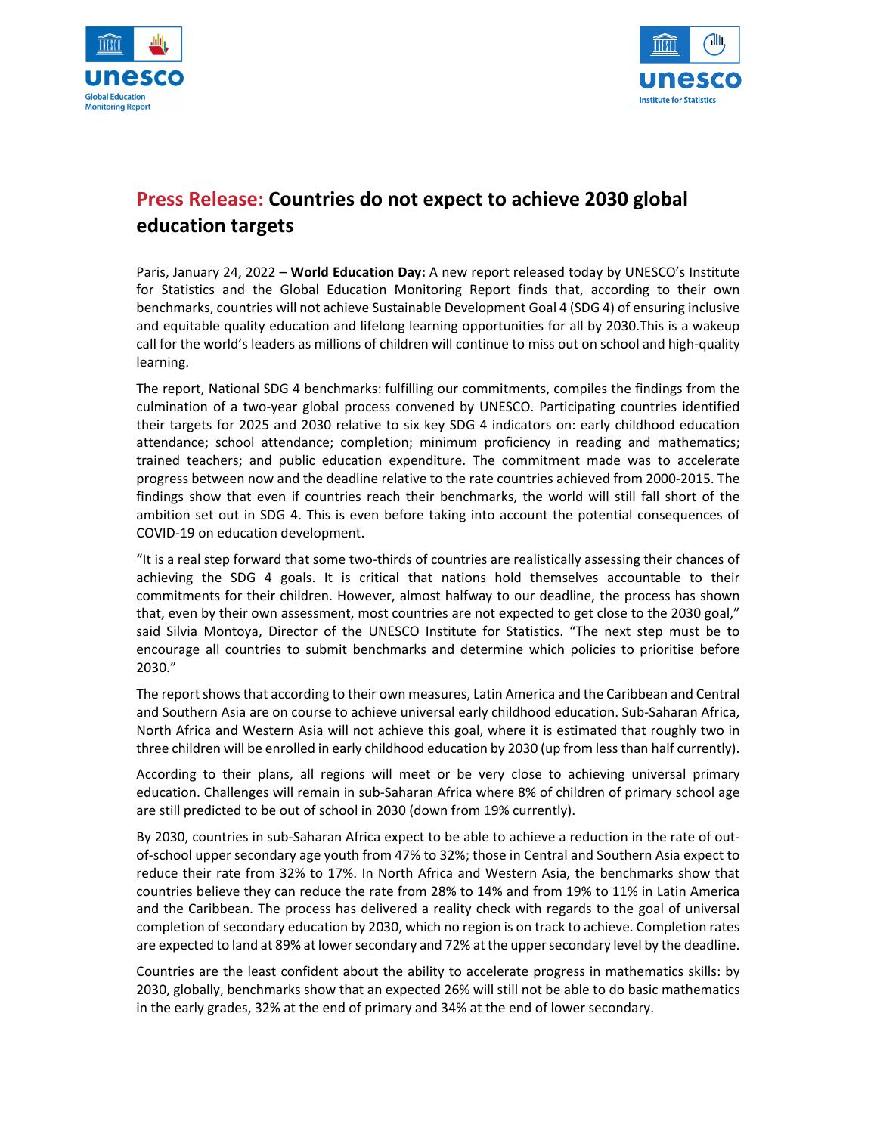



# **Press Release: Countries do not expect to achieve 2030 global education targets**

Paris, January 24, 2022 – **World Education Day:** A new report released today by UNESCO's Institute for Statistics and the Global Education Monitoring Report finds that, according to their own benchmarks, countries will not achieve Sustainable Development Goal 4 (SDG 4) of ensuring inclusive and equitable quality education and lifelong learning opportunities for all by 2030.This is a wakeup call for the world's leaders as millions of children will continue to miss out on school and high‐quality learning.

The report, National SDG 4 benchmarks: fulfilling our commitments, compiles the findings from the culmination of a two‐year global process convened by UNESCO. Participating countries identified their targets for 2025 and 2030 relative to six key SDG 4 indicators on: early childhood education attendance; school attendance; completion; minimum proficiency in reading and mathematics; trained teachers; and public education expenditure. The commitment made was to accelerate progress between now and the deadline relative to the rate countries achieved from 2000‐2015. The findings show that even if countries reach their benchmarks, the world will still fall short of the ambition set out in SDG 4. This is even before taking into account the potential consequences of COVID‐19 on education development.

"It is a real step forward that some two‐thirds of countries are realistically assessing their chances of achieving the SDG 4 goals. It is critical that nations hold themselves accountable to their commitments for their children. However, almost halfway to our deadline, the process has shown that, even by their own assessment, most countries are not expected to get close to the 2030 goal," said Silvia Montoya, Director of the UNESCO Institute for Statistics. "The next step must be to encourage all countries to submit benchmarks and determine which policies to prioritise before 2030."

The report shows that according to their own measures, Latin America and the Caribbean and Central and Southern Asia are on course to achieve universal early childhood education. Sub‐Saharan Africa, North Africa and Western Asia will not achieve this goal, where it is estimated that roughly two in three children will be enrolled in early childhood education by 2030 (up from lessthan half currently).

According to their plans, all regions will meet or be very close to achieving universal primary education. Challenges will remain in sub‐Saharan Africa where 8% of children of primary school age are still predicted to be out of school in 2030 (down from 19% currently).

By 2030, countries in sub‐Saharan Africa expect to be able to achieve a reduction in the rate of out‐ of‐school upper secondary age youth from 47% to 32%; those in Central and Southern Asia expect to reduce their rate from 32% to 17%. In North Africa and Western Asia, the benchmarks show that countries believe they can reduce the rate from 28% to 14% and from 19% to 11% in Latin America and the Caribbean. The process has delivered a reality check with regards to the goal of universal completion of secondary education by 2030, which no region is on track to achieve. Completion rates are expected to land at 89% at lower secondary and 72% at the upper secondary level by the deadline.

Countries are the least confident about the ability to accelerate progress in mathematics skills: by 2030, globally, benchmarks show that an expected 26% will still not be able to do basic mathematics in the early grades, 32% at the end of primary and 34% at the end of lower secondary.